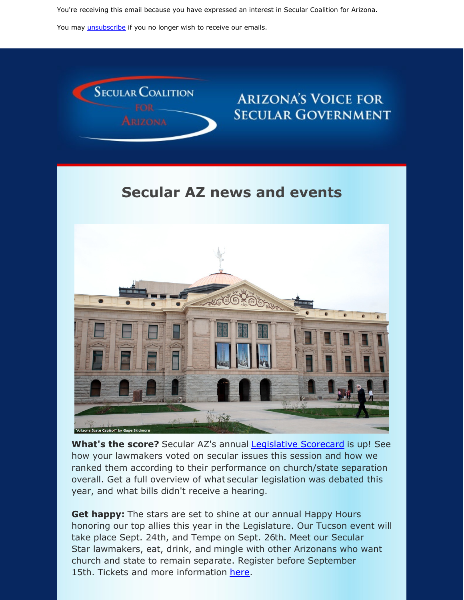You're receiving this email because you have expressed an interest in Secular Coalition for Arizona.

You may *[unsubscribe](https://visitor.constantcontact.com/do?p=un&m=001P9cdir9A6TjtWqZlUS4EUA%3D%3D&ch=&ca=532b5ade-881b-49f2-8f74-3950f02886e3)* if you no longer wish to receive our emails.



## **ARIZONA'S VOICE FOR SECULAR GOVERNMENT**

## **Secular AZ news and events**



**What's the score?** Secular AZ's annual [Legislative](https://secularaz.org/wp-content/uploads/2019/08/2019-Scorecard-and-wrapup.pdf?fbclid=IwAR1amV7db37xLydmsvDusnEPDmZVwptpNHquV85_pUYfMXGVIQncPCEcxkk) Scorecard is up! See how your lawmakers voted on secular issues this session and how we ranked them according to their performance on church/state separation overall. Get a full overview of what secular legislation was debated this year, and what bills didn't receive a hearing.

**Get happy:** The stars are set to shine at our annual Happy Hours honoring our top allies this year in the Legislature. Our Tucson event will take place Sept. 24th, and Tempe on Sept. 26th. Meet our Secular Star lawmakers, eat, drink, and mingle with other Arizonans who want church and state to remain separate. Register before September 15th. Tickets and more information [here](https://secularaz.org/product/happy-hour-with-the-stars-tickets/).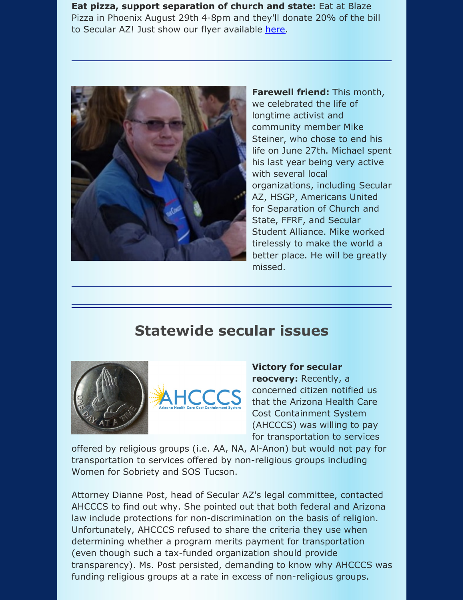**Eat pizza, support separation of church and state:** Eat at Blaze Pizza in Phoenix August 29th 4-8pm and they'll donate 20% of the bill to Secular AZ! Just show our flyer available [here](http://secularaz.org/2019/08/12/eat-pizza-support-separation-of-church-and-state/).



**Farewell friend:** This month, we celebrated the life of longtime activist and community member Mike Steiner, who chose to end his life on June 27th. Michael spent his last year being very active with several local organizations, including Secular AZ, HSGP, Americans United for Separation of Church and State, FFRF, and Secular Student Alliance. Mike worked tirelessly to make the world a better place. He will be greatly missed.

## **Statewide secular issues**





**Victory for secular reocvery:** Recently, a concerned citizen notified us that the Arizona Health Care Cost Containment System (AHCCCS) was willing to pay for transportation to services

offered by religious groups (i.e. AA, NA, Al-Anon) but would not pay for transportation to services offered by non-religious groups including Women for Sobriety and SOS Tucson.

Attorney Dianne Post, head of Secular AZ's legal committee, contacted AHCCCS to find out why. She pointed out that both federal and Arizona law include protections for non-discrimination on the basis of religion. Unfortunately, AHCCCS refused to share the criteria they use when determining whether a program merits payment for transportation (even though such a tax-funded organization should provide transparency). Ms. Post persisted, demanding to know why AHCCCS was funding religious groups at a rate in excess of non-religious groups.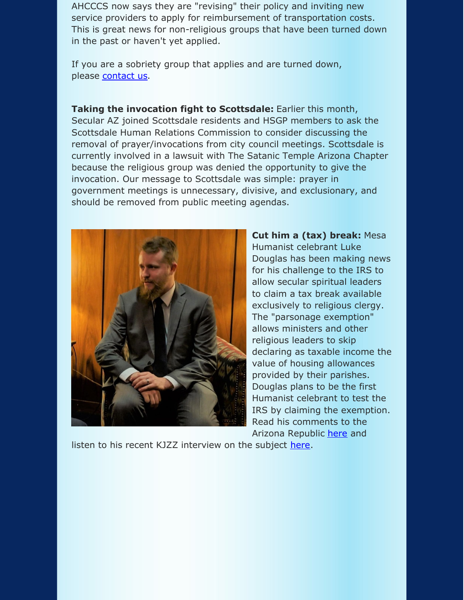AHCCCS now says they are "revising" their policy and inviting new service providers to apply for reimbursement of transportation costs. This is great news for non-religious groups that have been turned down in the past or haven't yet applied.

If you are a sobriety group that applies and are turned down, please [contact](https://secularaz.org/about-secular-az/contact-secular-coalition-for-arizona/?fbclid=IwAR2s_8rLSDspo-R8T_Er2zMaBRpNLxAUrvrn3uHUjkFoURgwM1Wn0FSRHKs) us.

**Taking the invocation fight to Scottsdale:** Earlier this month, Secular AZ joined Scottsdale residents and HSGP members to ask the Scottsdale Human Relations Commission to consider discussing the removal of prayer/invocations from city council meetings. Scottsdale is currently involved in a lawsuit with The Satanic Temple Arizona Chapter because the religious group was denied the opportunity to give the invocation. Our message to Scottsdale was simple: prayer in government meetings is unnecessary, divisive, and exclusionary, and should be removed from public meeting agendas.



**Cut him a (tax) break:** Mesa Humanist celebrant Luke Douglas has been making news for his challenge to the IRS to allow secular spiritual leaders to claim a tax break available exclusively to religious clergy. The "parsonage exemption" allows ministers and other religious leaders to skip declaring as taxable income the value of housing allowances provided by their parishes. Douglas plans to be the first Humanist celebrant to test the IRS by claiming the exemption. Read his comments to the Arizona Republic [here](https://www.azcentral.com/story/money/business/consumers/2019/08/07/humanist-society-leader-arizona-plans-challenge-irs-religious-tax-break-minister-clergy/1840002001/?fbclid=IwAR3uunLL0pQpFdcJZO8E-FnKkwqqbOznNJImLSjCo2WPY0rMxMQRydacMxo) and

listen to his recent KJZZ interview on the subject [here](https://kjzz.org/content/1116086/can-humanist-organizations-receive-religious-tax-exemption?fbclid=IwAR06EfYg8l11eiIOYYHsM6weTWf8S3vfdlH4sNzDoI6skhWhuUO00ZbjlQE).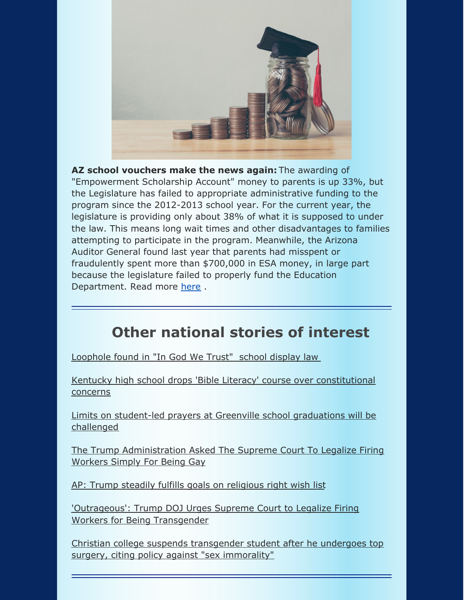

**AZ school vouchers make the news again:** The awarding of "Empowerment Scholarship Account" money to parents is up 33%, but the Legislature has failed to appropriate administrative funding to the program since the 2012-2013 school year. For the current year, the legislature is providing only about 38% of what it is supposed to under the law. This means long wait times and other disadvantages to families attempting to participate in the program. Meanwhile, the Arizona Auditor General found last year that parents had misspent or fraudulently spent more than \$700,000 in ESA money, in large part because the legislature failed to properly fund the Education Department. Read more [here](https://www.azmirror.com/2019/08/21/school-vouchers-awarded-up-33-this-year-but-oversight-funding-unchanged/?fbclid=IwAR3usEb3jZPRn4EPde9qZmhxhB38SPYJTiat0Q-ljeeYO6DnD-yVdYQ52rY).

## **Other national stories of interest**

[Loophole](https://ascienceenthusiast.com/kentucky-school-found-great-loophole-god-trust-law/?fbclid=IwAR1b5inlz4BgeLmzsaevYQCMIqx05b0p-09QhZIvwNrFa-BymKVyCZhCLis) found in "In God We Trust" school display law

Kentucky high school drops 'Bible Literacy' course over [constitutional](https://www.courier-journal.com/story/news/2019/08/09/kentucky-anderson-county-high-school-not-offer-bible-literacy-course-over-concerns/1952765001/?fbclid=IwAR3IAGfjLpycpr0_15XXYfD57zEbGMH-PxvCIxiSOC2O87TpiMj9eJpPna4) concerns

Limits on student-led prayers at Greenville school [graduations](https://www.greenvilleonline.com/story/news/2019/08/13/legal-battle-over-prayers-greenville-graduations-continue/2001637001/?fbclid=IwAR0-SYVfRH9t2fTDGCqN1ka2nK8VDh3IDeg7tqQd2aSazsemIR7-KNNyxYs) will be challenged

The Trump [Administration](https://www.buzzfeednews.com/article/dominicholden/trump-scotus-gay-workers?fbclid=IwAR0XjfIMi75rG14bu1_Sw-J3tMAOC8DkLhNuH7VZXitz0l1BxYKFgk_taS4) Asked The Supreme Court To Legalize Firing Workers Simply For Being Gay

AP: Trump steadily fulfills goals on [religious](https://apnews.com/c8626c6bdbab4e3f8232ea1499a6954b?fbclid=IwAR0F6TPnO4ra93TJj41GOBm-jV2JBfbyJN4HTeVFgN789wNU8-GIv4vo4gg) right wish list

['Outrageous':](https://www.commondreams.org/news/2019/08/17/outrageous-trump-doj-urges-supreme-court-legalize-firing-workers-being-transgender?fbclid=IwAR0jotZDvQnL8aJ0DoT7YMjmRvVyIrN2w4kOaCE3MOdWMkWEtJTNfCCiJqI) Trump DOJ Urges Supreme Court to Legalize Firing Workers for Being Transgender

Christian college suspends [transgender](https://www.newsweek.com/welch-college-yanna-awtrey-transgender-1453872?fbclid=IwAR39yAkv1dp8Zaencbm6PqUrv-PgDs4I0BG222Y0B4XV2bUWJ05r-KcvZaE) student after he undergoes top surgery, citing policy against "sex immorality"